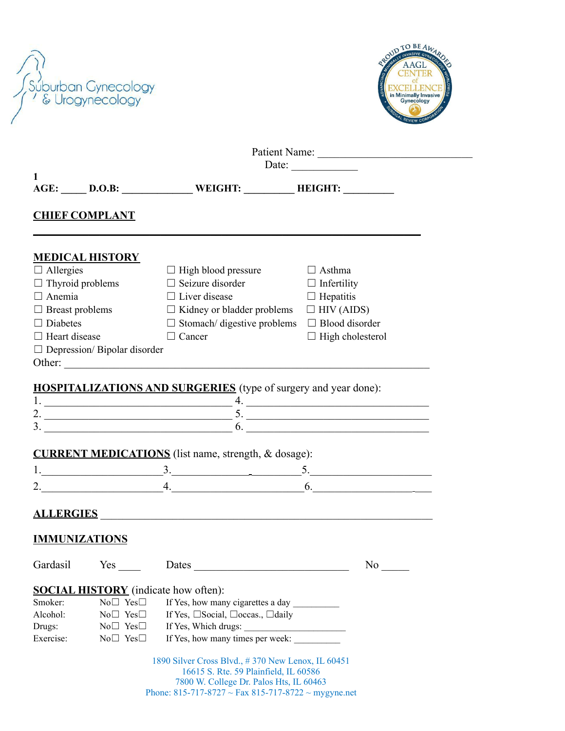

|                         | Patient Name:<br>Date: $\_\_$            |                                                                                                                                                                                              |                         |  |  |
|-------------------------|------------------------------------------|----------------------------------------------------------------------------------------------------------------------------------------------------------------------------------------------|-------------------------|--|--|
| 1                       |                                          | AGE: _____ D.O.B: ________________ WEIGHT: __________ HEIGHT: _________                                                                                                                      |                         |  |  |
| <b>CHIEF COMPLANT</b>   |                                          |                                                                                                                                                                                              |                         |  |  |
| <b>MEDICAL HISTORY</b>  |                                          |                                                                                                                                                                                              |                         |  |  |
| $\Box$ Allergies        |                                          | $\Box$ High blood pressure                                                                                                                                                                   | $\Box$ Asthma           |  |  |
| $\Box$ Thyroid problems |                                          | $\Box$ Seizure disorder                                                                                                                                                                      | $\Box$ Infertility      |  |  |
| $\Box$ Anemia           |                                          | $\Box$ Liver disease                                                                                                                                                                         | $\Box$ Hepatitis        |  |  |
| $\Box$ Breast problems  |                                          | $\Box$ Kidney or bladder problems $\Box$ HIV (AIDS)                                                                                                                                          |                         |  |  |
| $\Box$ Diabetes         |                                          | $\Box$ Stomach/ digestive problems $\Box$ Blood disorder                                                                                                                                     |                         |  |  |
| $\Box$ Heart disease    |                                          | $\Box$ Cancer                                                                                                                                                                                | $\Box$ High cholesterol |  |  |
|                         | $\Box$ Depression/Bipolar disorder       |                                                                                                                                                                                              |                         |  |  |
|                         |                                          |                                                                                                                                                                                              |                         |  |  |
|                         |                                          | 1. $\frac{1}{2}$ .<br><b>CURRENT MEDICATIONS</b> (list name, strength, & dosage):                                                                                                            |                         |  |  |
|                         |                                          | $2.$ 6.                                                                                                                                                                                      |                         |  |  |
| <b>IMMUNIZATIONS</b>    |                                          | ALLERGIES                                                                                                                                                                                    |                         |  |  |
| Gardasil                | $Yes \t —$                               | Dates                                                                                                                                                                                        | No                      |  |  |
|                         |                                          |                                                                                                                                                                                              |                         |  |  |
|                         |                                          | <b>SOCIAL HISTORY</b> (indicate how often):                                                                                                                                                  |                         |  |  |
| Smoker:                 | $No \Box Yes \Box$                       | If Yes, how many cigarettes a day                                                                                                                                                            |                         |  |  |
| Alcohol:                | $No \Box Yes \Box$<br>$No \Box Yes \Box$ | If Yes, □Social, □occas., □daily                                                                                                                                                             |                         |  |  |
| Drugs:<br>Exercise:     | No□ Yes□                                 | If Yes, how many times per week:                                                                                                                                                             |                         |  |  |
|                         |                                          | 1890 Silver Cross Blvd., #370 New Lenox, IL 60451<br>16615 S. Rte. 59 Plainfield, IL 60586<br>7800 W. College Dr. Palos Hts, IL 60463<br>Phone: 815-717-8727 ~ Fax 815-717-8722 ~ mygyne.net |                         |  |  |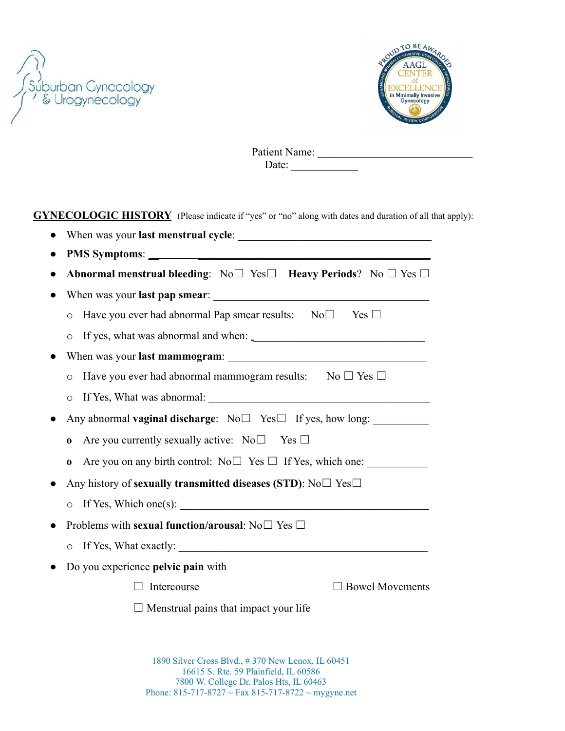



Patient Name: Date: \_\_\_\_\_\_\_\_\_\_\_\_

**GYNECOLOGIC HISTORY** (Please indicate if "yes" or "no" along with dates and duration of all that apply):

| Abnormal menstrual bleeding: $N_0 \Box$ Yes $\Box$ Heavy Periods? No $\Box$ Yes $\Box$<br>Have you ever had abnormal Pap smear results: $N_0 \Box$ Yes $\Box$<br>$\circ$<br>$\circ$<br>Have you ever had abnormal mammogram results: No $\Box$ Yes $\Box$<br>$\circ$ |                        |
|----------------------------------------------------------------------------------------------------------------------------------------------------------------------------------------------------------------------------------------------------------------------|------------------------|
|                                                                                                                                                                                                                                                                      |                        |
|                                                                                                                                                                                                                                                                      |                        |
|                                                                                                                                                                                                                                                                      |                        |
|                                                                                                                                                                                                                                                                      |                        |
|                                                                                                                                                                                                                                                                      |                        |
|                                                                                                                                                                                                                                                                      |                        |
|                                                                                                                                                                                                                                                                      |                        |
| $\circ$                                                                                                                                                                                                                                                              |                        |
| Any abnormal vaginal discharge: No□ Yes□ If yes, how long: ______________________                                                                                                                                                                                    |                        |
| Are you currently sexually active: $N_0 \Box$ Yes $\Box$<br>0                                                                                                                                                                                                        |                        |
| Are you on any birth control: $No \Box$ Yes $\Box$ If Yes, which one:<br>0                                                                                                                                                                                           |                        |
| Any history of sexually transmitted diseases (STD): $No \Box Yes \Box$                                                                                                                                                                                               |                        |
| If Yes, Which one(s): $\qquad \qquad$<br>$\circ$                                                                                                                                                                                                                     |                        |
| Problems with sexual function/arousal: $No \Box Yes \Box$                                                                                                                                                                                                            |                        |
| $\circ$                                                                                                                                                                                                                                                              |                        |
| Do you experience pelvic pain with                                                                                                                                                                                                                                   |                        |
| Intercourse                                                                                                                                                                                                                                                          | $\Box$ Bowel Movements |
| $\Box$ Menstrual pains that impact your life                                                                                                                                                                                                                         |                        |

 Silver Cross Blvd., # 370 New Lenox, IL 60451 S. Rte. 59 Plainfield, IL 60586 W. College Dr. Palos Hts, IL 60463 Phone: 815-717-8727 ~ Fax 815-717-8722 ~ mygyne.net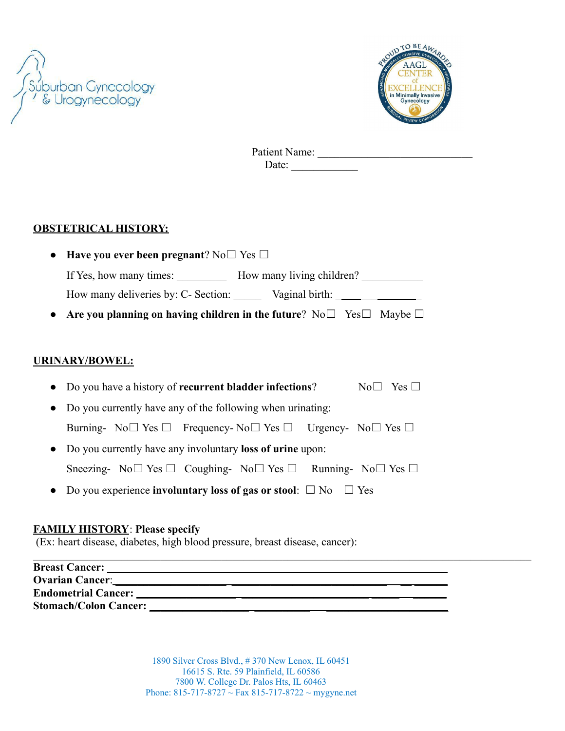



Patient Name: \_\_\_\_\_\_\_\_\_\_\_\_\_\_\_\_\_\_\_\_\_\_\_\_\_\_\_\_ Date:  $\qquad \qquad$ 

### **OBSTETRICAL HISTORY:**

- **Have you ever been pregnant**? No☐ Yes ☐ If Yes, how many times: How many living children? How many deliveries by: C- Section: \_\_\_\_\_ Vaginal birth: \_ \_\_\_ \_
- **Are you planning on having children in the future?** No□ Yes□ Maybe □

#### **URINARY/BOWEL:**

- Do you have a history of **recurrent bladder infections**? No□ Yes □
- Do you currently have any of the following when urinating: Burning-  $\text{No} \square \text{Yes} \square$  Frequency-  $\text{No} \square \text{Yes} \square$  Urgency-  $\text{No} \square \text{Yes} \square$
- Do you currently have any involuntary **loss of urine** upon: Sneezing-  $No \Box Yes \Box Coughing- No \Box Yes \Box Running- No \Box Yes \Box$
- **●** Do you experience **involuntary loss of gas or stool**: ☐ No ☐ Yes

#### **FAMILY HISTORY**: **Please specify**

(Ex: heart disease, diabetes, high blood pressure, breast disease, cancer):

| <b>Breast Cancer:</b>        |                                                                                                                                                                                                                                    |  |
|------------------------------|------------------------------------------------------------------------------------------------------------------------------------------------------------------------------------------------------------------------------------|--|
|                              | <b>Ovarian Cancer:</b> New York 2014 19:00 and 2014 19:00 and 2014 19:00 and 2014 19:00 and 2014 19:00 and 2014 19:00 and 2014 19:00 and 2014 19:00 and 2014 19:00 and 2014 19:00 and 2014 19:00 and 2014 19:00 and 2014 19:00 and |  |
|                              |                                                                                                                                                                                                                                    |  |
| <b>Stomach/Colon Cancer:</b> |                                                                                                                                                                                                                                    |  |

 Silver Cross Blvd., # 370 New Lenox, IL 60451 S. Rte. 59 Plainfield, IL 60586 W. College Dr. Palos Hts, IL 60463 Phone:  $815-717-8727 \sim$  Fax  $815-717-8722 \sim$  mygyne.net